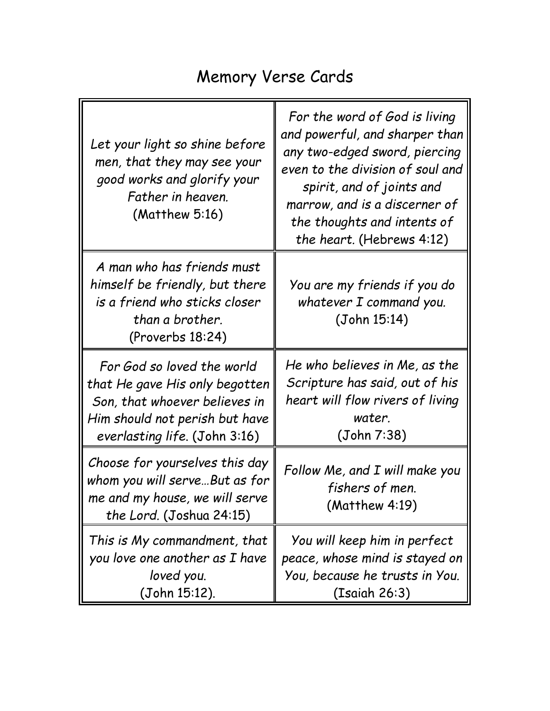## Memory Verse Cards

| Let your light so shine before<br>men, that they may see your<br>good works and glorify your<br>Father in heaven.<br>$(Mat$ thew 5:16)                           | For the word of God is living<br>and powerful, and sharper than<br>any two-edged sword, piercing<br>even to the division of soul and<br>spirit, and of joints and<br>marrow, and is a discerner of<br>the thoughts and intents of<br>the heart. (Hebrews 4:12) |
|------------------------------------------------------------------------------------------------------------------------------------------------------------------|----------------------------------------------------------------------------------------------------------------------------------------------------------------------------------------------------------------------------------------------------------------|
| A man who has friends must<br>himself be friendly, but there<br>is a friend who sticks closer<br>than a brother.<br>(Proverbs 18:24)                             | You are my friends if you do<br>whatever I command you.<br>(John 15:14)                                                                                                                                                                                        |
| For God so loved the world<br>that He gave His only begotten<br>Son, that whoever believes in<br>Him should not perish but have<br>everlasting life. (John 3:16) | He who believes in Me, as the<br>Scripture has said, out of his<br>heart will flow rivers of living<br>water.<br>(John 7:38)                                                                                                                                   |
| Choose for yourselves this day<br>whom you will serveBut as for<br>me and my house, we will serve<br>the Lord. (Joshua 24:15)                                    | Follow Me, and I will make you<br>fishers of men.<br>$(Mat$ thew 4:19)                                                                                                                                                                                         |
| This is My commandment, that<br>you love one another as I have<br>loved you.<br>(John 15:12).                                                                    | You will keep him in perfect<br>peace, whose mind is stayed on<br>You, because he trusts in You.<br>(Isaiah 26:3)                                                                                                                                              |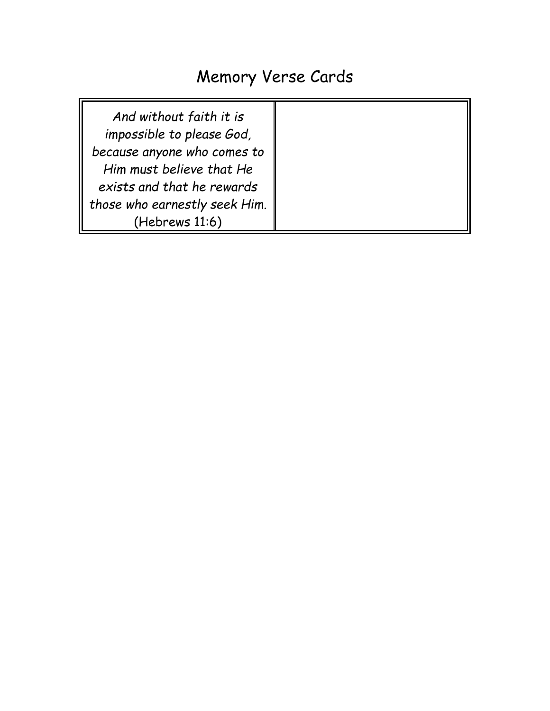## Memory Verse Cards

| And without faith it is<br>impossible to please God, |  |
|------------------------------------------------------|--|
| because anyone who comes to                          |  |
| Him must believe that He                             |  |
| exists and that he rewards                           |  |
| those who earnestly seek Him.                        |  |
| (Hebrews 11:6)                                       |  |